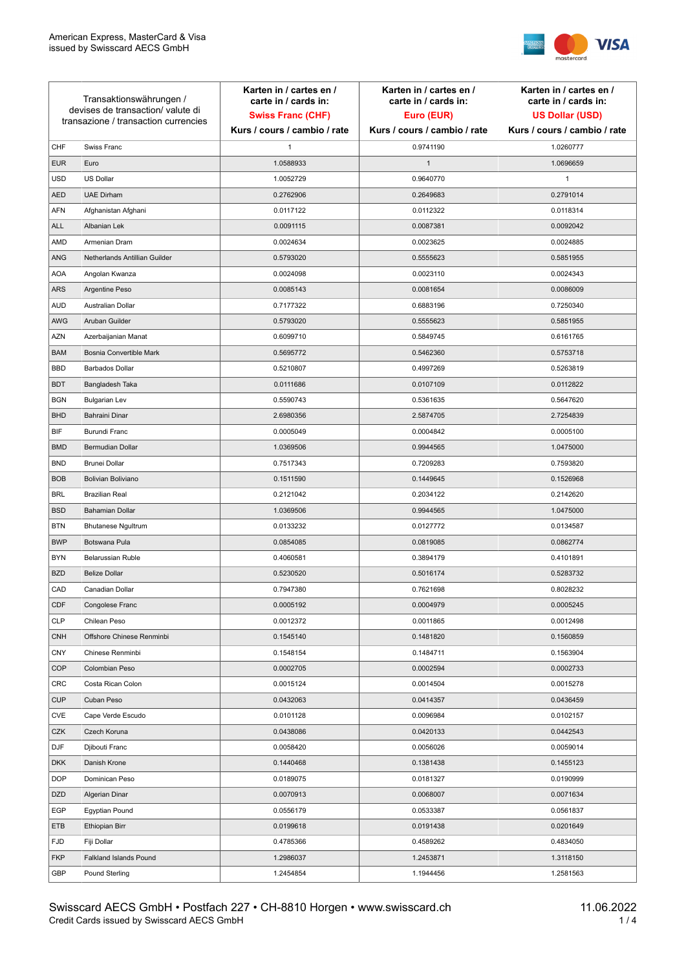

| Transaktionswährungen /<br>devises de transaction/valute di<br>transazione / transaction currencies |                               | Karten in / cartes en /<br>carte in / cards in:<br><b>Swiss Franc (CHF)</b> | Karten in / cartes en /<br>carte in / cards in:<br>Euro (EUR) | Karten in / cartes en /<br>carte in / cards in:<br><b>US Dollar (USD)</b> |
|-----------------------------------------------------------------------------------------------------|-------------------------------|-----------------------------------------------------------------------------|---------------------------------------------------------------|---------------------------------------------------------------------------|
|                                                                                                     |                               | Kurs / cours / cambio / rate                                                | Kurs / cours / cambio / rate                                  | Kurs / cours / cambio / rate                                              |
| CHF                                                                                                 | Swiss Franc                   | 1                                                                           | 0.9741190                                                     | 1.0260777                                                                 |
| <b>EUR</b>                                                                                          | Euro                          | 1.0588933                                                                   | $\mathbf{1}$                                                  | 1.0696659                                                                 |
| <b>USD</b>                                                                                          | US Dollar                     | 1.0052729                                                                   | 0.9640770                                                     | $\mathbf{1}$                                                              |
| <b>AED</b>                                                                                          | <b>UAE Dirham</b>             | 0.2762906                                                                   | 0.2649683                                                     | 0.2791014                                                                 |
| <b>AFN</b>                                                                                          | Afghanistan Afghani           | 0.0117122                                                                   | 0.0112322                                                     | 0.0118314                                                                 |
| ALL                                                                                                 | Albanian Lek                  | 0.0091115                                                                   | 0.0087381                                                     | 0.0092042                                                                 |
| AMD                                                                                                 | Armenian Dram                 | 0.0024634                                                                   | 0.0023625                                                     | 0.0024885                                                                 |
| ANG                                                                                                 | Netherlands Antillian Guilder | 0.5793020                                                                   | 0.5555623                                                     | 0.5851955                                                                 |
| <b>AOA</b>                                                                                          | Angolan Kwanza                | 0.0024098                                                                   | 0.0023110                                                     | 0.0024343                                                                 |
| ARS                                                                                                 | Argentine Peso                | 0.0085143                                                                   | 0.0081654                                                     | 0.0086009                                                                 |
| <b>AUD</b>                                                                                          | Australian Dollar             | 0.7177322                                                                   | 0.6883196                                                     | 0.7250340                                                                 |
| AWG                                                                                                 | Aruban Guilder                | 0.5793020                                                                   | 0.5555623                                                     | 0.5851955                                                                 |
| AZN                                                                                                 | Azerbaijanian Manat           | 0.6099710                                                                   | 0.5849745                                                     | 0.6161765                                                                 |
| <b>BAM</b>                                                                                          | Bosnia Convertible Mark       | 0.5695772                                                                   | 0.5462360                                                     | 0.5753718                                                                 |
| <b>BBD</b>                                                                                          | <b>Barbados Dollar</b>        | 0.5210807                                                                   | 0.4997269                                                     | 0.5263819                                                                 |
| <b>BDT</b>                                                                                          | Bangladesh Taka               | 0.0111686                                                                   | 0.0107109                                                     | 0.0112822                                                                 |
| <b>BGN</b>                                                                                          | <b>Bulgarian Lev</b>          | 0.5590743                                                                   | 0.5361635                                                     | 0.5647620                                                                 |
| <b>BHD</b>                                                                                          | Bahraini Dinar                | 2.6980356                                                                   | 2.5874705                                                     | 2.7254839                                                                 |
| BIF                                                                                                 | Burundi Franc                 | 0.0005049                                                                   | 0.0004842                                                     | 0.0005100                                                                 |
| <b>BMD</b>                                                                                          | Bermudian Dollar              | 1.0369506                                                                   | 0.9944565                                                     | 1.0475000                                                                 |
| <b>BND</b>                                                                                          | <b>Brunei Dollar</b>          | 0.7517343                                                                   | 0.7209283                                                     | 0.7593820                                                                 |
| <b>BOB</b>                                                                                          | Bolivian Boliviano            | 0.1511590                                                                   | 0.1449645                                                     | 0.1526968                                                                 |
| <b>BRL</b>                                                                                          | <b>Brazilian Real</b>         | 0.2121042                                                                   | 0.2034122                                                     | 0.2142620                                                                 |
| <b>BSD</b>                                                                                          | <b>Bahamian Dollar</b>        | 1.0369506                                                                   | 0.9944565                                                     | 1.0475000                                                                 |
| <b>BTN</b>                                                                                          | <b>Bhutanese Ngultrum</b>     | 0.0133232                                                                   | 0.0127772                                                     | 0.0134587                                                                 |
| <b>BWP</b>                                                                                          | Botswana Pula                 | 0.0854085                                                                   | 0.0819085                                                     | 0.0862774                                                                 |
| <b>BYN</b>                                                                                          | Belarussian Ruble             | 0.4060581                                                                   | 0.3894179                                                     | 0.4101891                                                                 |
| <b>BZD</b>                                                                                          | <b>Belize Dollar</b>          | 0.5230520                                                                   | 0.5016174                                                     | 0.5283732                                                                 |
| CAD                                                                                                 | Canadian Dollar               | 0.7947380                                                                   | 0.7621698                                                     | 0.8028232                                                                 |
| CDF                                                                                                 | Congolese Franc               | 0.0005192                                                                   | 0.0004979                                                     | 0.0005245                                                                 |
| <b>CLP</b>                                                                                          | Chilean Peso                  | 0.0012372                                                                   | 0.0011865                                                     | 0.0012498                                                                 |
| <b>CNH</b>                                                                                          | Offshore Chinese Renminbi     | 0.1545140                                                                   | 0.1481820                                                     | 0.1560859                                                                 |
| <b>CNY</b>                                                                                          | Chinese Renminbi              | 0.1548154                                                                   | 0.1484711                                                     | 0.1563904                                                                 |
| <b>COP</b>                                                                                          | Colombian Peso                | 0.0002705                                                                   | 0.0002594                                                     | 0.0002733                                                                 |
| CRC                                                                                                 | Costa Rican Colon             | 0.0015124                                                                   | 0.0014504                                                     | 0.0015278                                                                 |
| <b>CUP</b>                                                                                          | Cuban Peso                    | 0.0432063                                                                   | 0.0414357                                                     | 0.0436459                                                                 |
| CVE                                                                                                 | Cape Verde Escudo             | 0.0101128                                                                   | 0.0096984                                                     | 0.0102157                                                                 |
| CZK                                                                                                 | Czech Koruna                  | 0.0438086                                                                   | 0.0420133                                                     | 0.0442543                                                                 |
| DJF                                                                                                 | Djibouti Franc                | 0.0058420                                                                   | 0.0056026                                                     | 0.0059014                                                                 |
| <b>DKK</b>                                                                                          | Danish Krone                  | 0.1440468                                                                   | 0.1381438                                                     | 0.1455123                                                                 |
| <b>DOP</b>                                                                                          | Dominican Peso                | 0.0189075                                                                   | 0.0181327                                                     | 0.0190999                                                                 |
| <b>DZD</b>                                                                                          | Algerian Dinar                | 0.0070913                                                                   | 0.0068007                                                     | 0.0071634                                                                 |
| EGP                                                                                                 | Egyptian Pound                | 0.0556179                                                                   | 0.0533387                                                     | 0.0561837                                                                 |
| ETB                                                                                                 | Ethiopian Birr                | 0.0199618                                                                   | 0.0191438                                                     | 0.0201649                                                                 |
| <b>FJD</b>                                                                                          | Fiji Dollar                   | 0.4785366                                                                   | 0.4589262                                                     | 0.4834050                                                                 |
| <b>FKP</b>                                                                                          | Falkland Islands Pound        | 1.2986037                                                                   | 1.2453871                                                     | 1.3118150                                                                 |
| GBP                                                                                                 | Pound Sterling                | 1.2454854                                                                   | 1.1944456                                                     | 1.2581563                                                                 |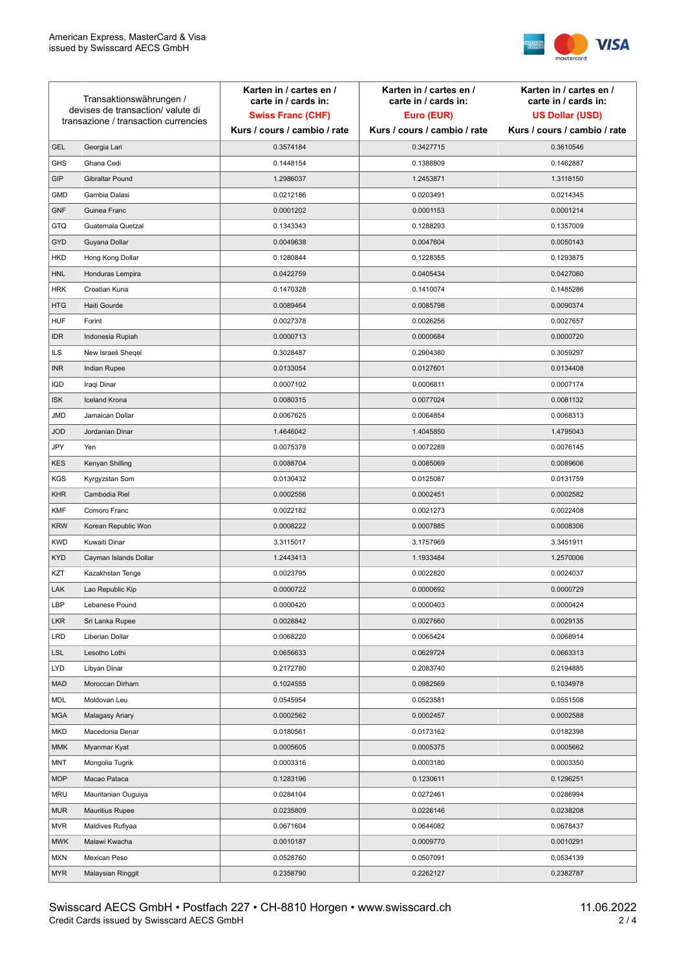

| Transaktionswährungen /<br>devises de transaction/valute di<br>transazione / transaction currencies |                        | Karten in / cartes en /<br>carte in / cards in: | Karten in / cartes en /<br>carte in / cards in: | Karten in / cartes en /<br>carte in / cards in: |
|-----------------------------------------------------------------------------------------------------|------------------------|-------------------------------------------------|-------------------------------------------------|-------------------------------------------------|
|                                                                                                     |                        | <b>Swiss Franc (CHF)</b>                        | Euro (EUR)                                      | <b>US Dollar (USD)</b>                          |
|                                                                                                     |                        | Kurs / cours / cambio / rate                    | Kurs / cours / cambio / rate                    | Kurs / cours / cambio / rate                    |
| <b>GEL</b>                                                                                          | Georgia Lari           | 0.3574184                                       | 0.3427715                                       | 0.3610546                                       |
| <b>GHS</b>                                                                                          | Ghana Cedi             | 0.1448154                                       | 0.1388809                                       | 0.1462887                                       |
| GIP                                                                                                 | Gibraltar Pound        | 1.2986037                                       | 1.2453871                                       | 1.3118150                                       |
| <b>GMD</b>                                                                                          | Gambia Dalasi          | 0.0212186                                       | 0.0203491                                       | 0.0214345                                       |
| <b>GNF</b>                                                                                          | Guinea Franc           | 0.0001202                                       | 0.0001153                                       | 0.0001214                                       |
| <b>GTQ</b>                                                                                          | Guatemala Quetzal      | 0.1343343                                       | 0.1288293                                       | 0.1357009                                       |
| GYD                                                                                                 | Guyana Dollar          | 0.0049638                                       | 0.0047604                                       | 0.0050143                                       |
| <b>HKD</b>                                                                                          | Hong Kong Dollar       | 0.1280844                                       | 0.1228355                                       | 0.1293875                                       |
| <b>HNL</b>                                                                                          | Honduras Lempira       | 0.0422759                                       | 0.0405434                                       | 0.0427060                                       |
| <b>HRK</b>                                                                                          | Croatian Kuna          | 0.1470328                                       | 0.1410074                                       | 0.1485286                                       |
| <b>HTG</b>                                                                                          | Haiti Gourde           | 0.0089464                                       | 0.0085798                                       | 0.0090374                                       |
| <b>HUF</b>                                                                                          | Forint                 | 0.0027378                                       | 0.0026256                                       | 0.0027657                                       |
| <b>IDR</b>                                                                                          | Indonesia Rupiah       | 0.0000713                                       | 0.0000684                                       | 0.0000720                                       |
| <b>ILS</b>                                                                                          | New Israeli Sheqel     | 0.3028487                                       | 0.2904380                                       | 0.3059297                                       |
| <b>INR</b>                                                                                          | Indian Rupee           | 0.0133054                                       | 0.0127601                                       | 0.0134408                                       |
| <b>IQD</b>                                                                                          | Iraqi Dinar            | 0.0007102                                       | 0.0006811                                       | 0.0007174                                       |
| <b>ISK</b>                                                                                          | <b>Iceland Krona</b>   | 0.0080315                                       | 0.0077024                                       | 0.0081132                                       |
| <b>JMD</b>                                                                                          | Jamaican Dollar        | 0.0067625                                       | 0.0064854                                       | 0.0068313                                       |
| <b>JOD</b>                                                                                          | Jordanian Dinar        | 1.4646042                                       | 1.4045850                                       | 1.4795043                                       |
| JPY                                                                                                 | Yen                    | 0.0075378                                       | 0.0072289                                       | 0.0076145                                       |
| <b>KES</b>                                                                                          | Kenyan Shilling        | 0.0088704                                       | 0.0085069                                       | 0.0089606                                       |
| <b>KGS</b>                                                                                          | Kyrgyzstan Som         | 0.0130432                                       | 0.0125087                                       | 0.0131759                                       |
| <b>KHR</b>                                                                                          | Cambodia Riel          | 0.0002556                                       | 0.0002451                                       | 0.0002582                                       |
| <b>KMF</b>                                                                                          | Comoro Franc           | 0.0022182                                       | 0.0021273                                       | 0.0022408                                       |
| <b>KRW</b>                                                                                          | Korean Republic Won    | 0.0008222                                       | 0.0007885                                       | 0.0008306                                       |
| <b>KWD</b>                                                                                          | Kuwaiti Dinar          | 3.3115017                                       | 3.1757969                                       | 3.3451911                                       |
| <b>KYD</b>                                                                                          | Cayman Islands Dollar  | 1.2443413                                       | 1.1933484                                       | 1.2570006                                       |
| KZT                                                                                                 | Kazakhstan Tenge       | 0.0023795                                       | 0.0022820                                       | 0.0024037                                       |
| LAK                                                                                                 | Lao Republic Kip       | 0.0000722                                       | 0.0000692                                       | 0.0000729                                       |
| LBP                                                                                                 | Lebanese Pound         | 0.0000420                                       | 0.0000403                                       | 0.0000424                                       |
| <b>LKR</b>                                                                                          | Sri Lanka Rupee        | 0.0028842                                       | 0.0027660                                       | 0.0029135                                       |
| <b>LRD</b>                                                                                          | Liberian Dollar        | 0.0068220                                       | 0.0065424                                       | 0.0068914                                       |
| <b>LSL</b>                                                                                          | Lesotho Lothi          | 0.0656633                                       | 0.0629724                                       | 0.0663313                                       |
| <b>LYD</b>                                                                                          | Libyan Dinar           | 0.2172780                                       | 0.2083740                                       | 0.2194885                                       |
| <b>MAD</b>                                                                                          | Moroccan Dirham        | 0.1024555                                       | 0.0982569                                       | 0.1034978                                       |
| MDL                                                                                                 | Moldovan Leu           | 0.0545954                                       | 0.0523581                                       | 0.0551508                                       |
| <b>MGA</b>                                                                                          | Malagasy Ariary        | 0.0002562                                       | 0.0002457                                       | 0.0002588                                       |
| <b>MKD</b>                                                                                          | Macedonia Denar        | 0.0180561                                       | 0.0173162                                       | 0.0182398                                       |
| <b>MMK</b>                                                                                          | Myanmar Kyat           | 0.0005605                                       | 0.0005375                                       | 0.0005662                                       |
| MNT                                                                                                 | Mongolia Tugrik        | 0.0003316                                       | 0.0003180                                       | 0.0003350                                       |
| <b>MOP</b>                                                                                          | Macao Pataca           | 0.1283196                                       | 0.1230611                                       | 0.1296251                                       |
| <b>MRU</b>                                                                                          | Mauritanian Ouguiya    | 0.0284104                                       | 0.0272461                                       | 0.0286994                                       |
| <b>MUR</b>                                                                                          | <b>Mauritius Rupee</b> | 0.0235809                                       | 0.0226146                                       | 0.0238208                                       |
| <b>MVR</b>                                                                                          | Maldives Rufiyaa       | 0.0671604                                       | 0.0644082                                       | 0.0678437                                       |
| <b>MWK</b>                                                                                          | Malawi Kwacha          | 0.0010187                                       | 0.0009770                                       | 0.0010291                                       |
| <b>MXN</b>                                                                                          | Mexican Peso           | 0.0528760                                       | 0.0507091                                       | 0.0534139                                       |
| <b>MYR</b>                                                                                          | Malaysian Ringgit      | 0.2358790                                       | 0.2262127                                       | 0.2382787                                       |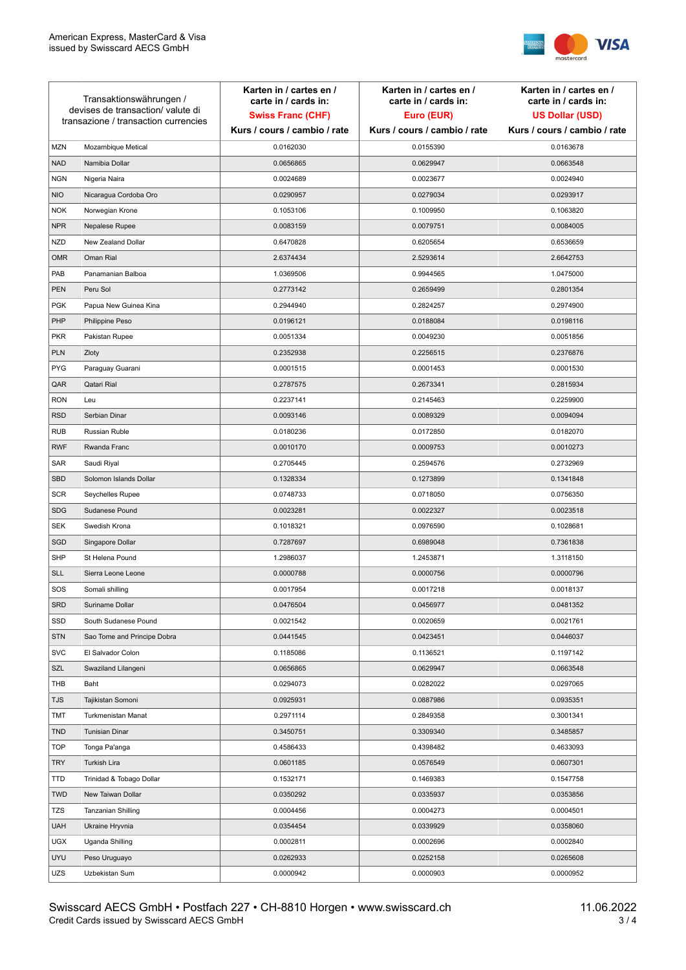

| Transaktionswährungen /<br>devises de transaction/valute di<br>transazione / transaction currencies |                             | Karten in / cartes en /<br>carte in / cards in:<br><b>Swiss Franc (CHF)</b> | Karten in / cartes en /<br>carte in / cards in:<br>Euro (EUR) | Karten in / cartes en /<br>carte in / cards in:<br><b>US Dollar (USD)</b> |
|-----------------------------------------------------------------------------------------------------|-----------------------------|-----------------------------------------------------------------------------|---------------------------------------------------------------|---------------------------------------------------------------------------|
|                                                                                                     |                             | Kurs / cours / cambio / rate                                                | Kurs / cours / cambio / rate                                  | Kurs / cours / cambio / rate                                              |
| <b>MZN</b>                                                                                          | Mozambique Metical          | 0.0162030                                                                   | 0.0155390                                                     | 0.0163678                                                                 |
| <b>NAD</b>                                                                                          | Namibia Dollar              | 0.0656865                                                                   | 0.0629947                                                     | 0.0663548                                                                 |
| <b>NGN</b>                                                                                          | Nigeria Naira               | 0.0024689                                                                   | 0.0023677                                                     | 0.0024940                                                                 |
| <b>NIO</b>                                                                                          | Nicaragua Cordoba Oro       | 0.0290957                                                                   | 0.0279034                                                     | 0.0293917                                                                 |
| <b>NOK</b>                                                                                          | Norwegian Krone             | 0.1053106                                                                   | 0.1009950                                                     | 0.1063820                                                                 |
| <b>NPR</b>                                                                                          | Nepalese Rupee              | 0.0083159                                                                   | 0.0079751                                                     | 0.0084005                                                                 |
| <b>NZD</b>                                                                                          | New Zealand Dollar          | 0.6470828                                                                   | 0.6205654                                                     | 0.6536659                                                                 |
| <b>OMR</b>                                                                                          | Oman Rial                   | 2.6374434                                                                   | 2.5293614                                                     | 2.6642753                                                                 |
| PAB                                                                                                 | Panamanian Balboa           | 1.0369506                                                                   | 0.9944565                                                     | 1.0475000                                                                 |
| <b>PEN</b>                                                                                          | Peru Sol                    | 0.2773142                                                                   | 0.2659499                                                     | 0.2801354                                                                 |
| <b>PGK</b>                                                                                          | Papua New Guinea Kina       | 0.2944940                                                                   | 0.2824257                                                     | 0.2974900                                                                 |
| PHP                                                                                                 | Philippine Peso             | 0.0196121                                                                   | 0.0188084                                                     | 0.0198116                                                                 |
| <b>PKR</b>                                                                                          | Pakistan Rupee              | 0.0051334                                                                   | 0.0049230                                                     | 0.0051856                                                                 |
| <b>PLN</b>                                                                                          | Zloty                       | 0.2352938                                                                   | 0.2256515                                                     | 0.2376876                                                                 |
| <b>PYG</b>                                                                                          | Paraguay Guarani            | 0.0001515                                                                   | 0.0001453                                                     | 0.0001530                                                                 |
| QAR                                                                                                 | Qatari Rial                 | 0.2787575                                                                   | 0.2673341                                                     | 0.2815934                                                                 |
| <b>RON</b>                                                                                          | Leu                         | 0.2237141                                                                   | 0.2145463                                                     | 0.2259900                                                                 |
| <b>RSD</b>                                                                                          | Serbian Dinar               | 0.0093146                                                                   | 0.0089329                                                     | 0.0094094                                                                 |
| <b>RUB</b>                                                                                          | Russian Ruble               | 0.0180236                                                                   | 0.0172850                                                     | 0.0182070                                                                 |
| <b>RWF</b>                                                                                          | Rwanda Franc                | 0.0010170                                                                   | 0.0009753                                                     | 0.0010273                                                                 |
| SAR                                                                                                 | Saudi Riyal                 | 0.2705445                                                                   | 0.2594576                                                     | 0.2732969                                                                 |
| <b>SBD</b>                                                                                          | Solomon Islands Dollar      | 0.1328334                                                                   | 0.1273899                                                     | 0.1341848                                                                 |
| <b>SCR</b>                                                                                          | Seychelles Rupee            | 0.0748733                                                                   | 0.0718050                                                     | 0.0756350                                                                 |
| <b>SDG</b>                                                                                          | Sudanese Pound              | 0.0023281                                                                   | 0.0022327                                                     | 0.0023518                                                                 |
| <b>SEK</b>                                                                                          | Swedish Krona               | 0.1018321                                                                   | 0.0976590                                                     | 0.1028681                                                                 |
| SGD                                                                                                 | Singapore Dollar            | 0.7287697                                                                   | 0.6989048                                                     | 0.7361838                                                                 |
| <b>SHP</b>                                                                                          | St Helena Pound             | 1.2986037                                                                   | 1.2453871                                                     | 1.3118150                                                                 |
| <b>SLL</b>                                                                                          | Sierra Leone Leone          | 0.0000788                                                                   | 0.0000756                                                     | 0.0000796                                                                 |
| SOS                                                                                                 | Somali shilling             | 0.0017954                                                                   | 0.0017218                                                     | 0.0018137                                                                 |
| SRD                                                                                                 | Suriname Dollar             | 0.0476504                                                                   | 0.0456977                                                     | 0.0481352                                                                 |
| SSD                                                                                                 | South Sudanese Pound        | 0.0021542                                                                   | 0.0020659                                                     | 0.0021761                                                                 |
| <b>STN</b>                                                                                          | Sao Tome and Principe Dobra | 0.0441545                                                                   | 0.0423451                                                     | 0.0446037                                                                 |
| <b>SVC</b>                                                                                          | El Salvador Colon           | 0.1185086                                                                   | 0.1136521                                                     | 0.1197142                                                                 |
| SZL                                                                                                 | Swaziland Lilangeni         | 0.0656865                                                                   | 0.0629947                                                     | 0.0663548                                                                 |
| THB                                                                                                 | Baht                        | 0.0294073                                                                   | 0.0282022                                                     | 0.0297065                                                                 |
| TJS                                                                                                 | Tajikistan Somoni           | 0.0925931                                                                   | 0.0887986                                                     | 0.0935351                                                                 |
| <b>TMT</b>                                                                                          | Turkmenistan Manat          | 0.2971114                                                                   | 0.2849358                                                     | 0.3001341                                                                 |
| <b>TND</b>                                                                                          | <b>Tunisian Dinar</b>       | 0.3450751                                                                   | 0.3309340                                                     | 0.3485857                                                                 |
| <b>TOP</b>                                                                                          | Tonga Pa'anga               | 0.4586433                                                                   | 0.4398482                                                     | 0.4633093                                                                 |
| <b>TRY</b>                                                                                          | Turkish Lira                | 0.0601185                                                                   | 0.0576549                                                     | 0.0607301                                                                 |
| TTD                                                                                                 | Trinidad & Tobago Dollar    | 0.1532171                                                                   | 0.1469383                                                     | 0.1547758                                                                 |
| <b>TWD</b>                                                                                          | New Taiwan Dollar           | 0.0350292                                                                   | 0.0335937                                                     | 0.0353856                                                                 |
| <b>TZS</b>                                                                                          | Tanzanian Shilling          | 0.0004456                                                                   | 0.0004273                                                     | 0.0004501                                                                 |
| <b>UAH</b>                                                                                          | Ukraine Hryvnia             | 0.0354454                                                                   | 0.0339929                                                     | 0.0358060                                                                 |
| <b>UGX</b>                                                                                          | Uganda Shilling             | 0.0002811                                                                   | 0.0002696                                                     | 0.0002840                                                                 |
| <b>UYU</b>                                                                                          | Peso Uruguayo               | 0.0262933                                                                   | 0.0252158                                                     | 0.0265608                                                                 |
| UZS                                                                                                 | Uzbekistan Sum              | 0.0000942                                                                   | 0.0000903                                                     | 0.0000952                                                                 |